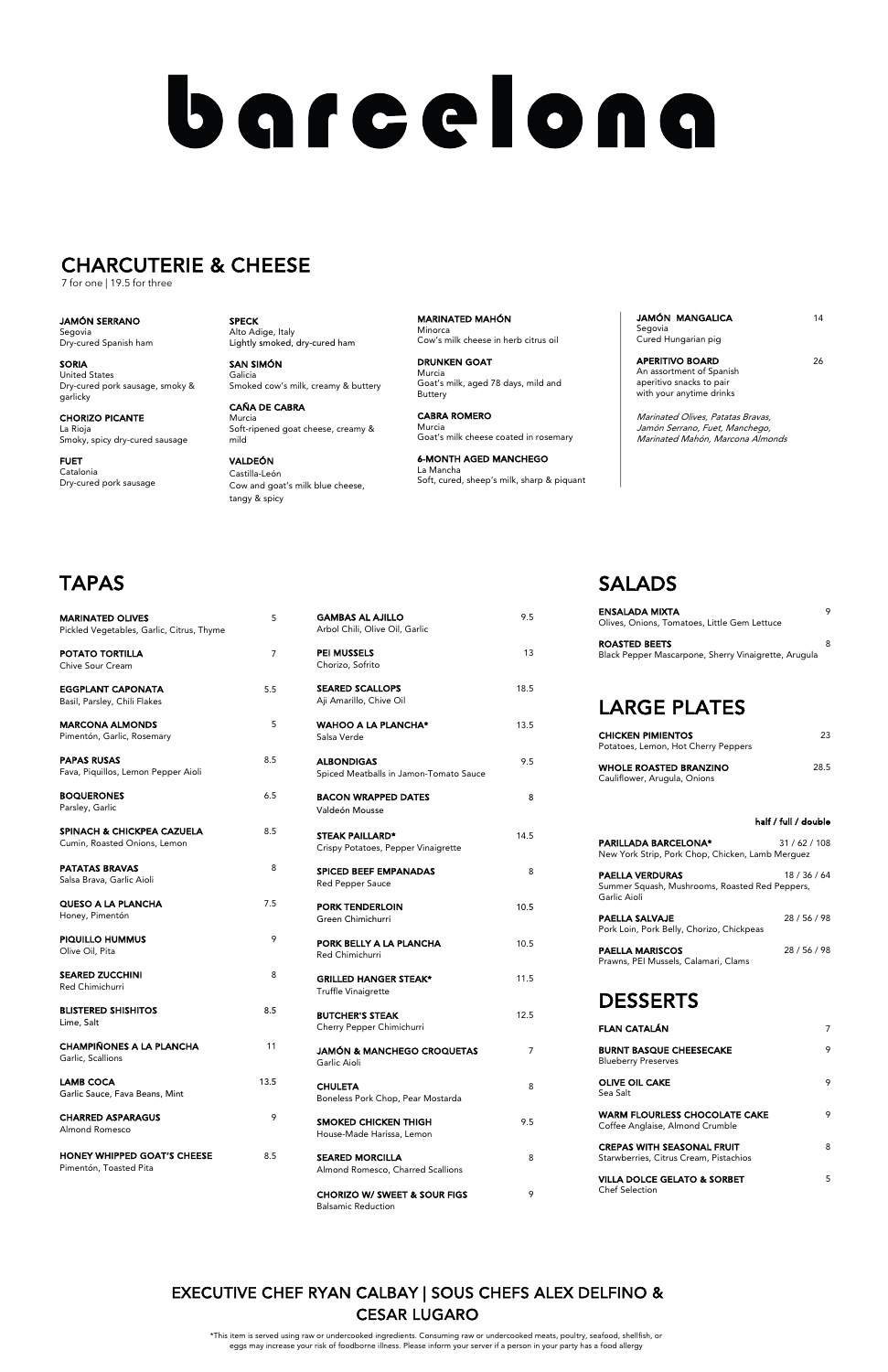SMOKED CHICKEN THIGH 9.5 House-Made Harissa, Lemon

SEARED MORCILLA 8 Almond Romesco, Charred Scallions

CHORIZO W/ SWEET & SOUR FIGS 9 Balsamic Reduction

#### Truffle Vinaigrette

| <b>BUTCHER'S STEAK</b><br>Cherry Pepper Chimichurri   | 12.5 |
|-------------------------------------------------------|------|
| <b>JAMÓN &amp; MANCHEGO CROQUETAS</b><br>Garlic Aioli |      |

CHULETA 8 Boneless Pork Chop, Pear Mostarda

| <b>MARINATED OLIVES</b><br>Pickled Vegetables, Garlic, Citrus, Thyme | 5              | <b>GAMBAS AL AJILLO</b><br>Arbol Chili, Olive Oil, Garlic         | 9.5  |
|----------------------------------------------------------------------|----------------|-------------------------------------------------------------------|------|
| POTATO TORTILLA<br>Chive Sour Cream                                  | $\overline{7}$ | <b>PEI MUSSELS</b><br>Chorizo, Sofrito                            | 13   |
| EGGPLANT CAPONATA<br>Basil, Parsley, Chili Flakes                    | 5.5            | <b>SEARED SCALLOPS</b><br>Aji Amarillo, Chive Oil                 | 18.5 |
| <b>MARCONA ALMONDS</b><br>Pimentón, Garlic, Rosemary                 | 5              | <b>WAHOO A LA PLANCHA*</b><br>Salsa Verde                         | 13.5 |
| <b>PAPAS RUSAS</b><br>Fava, Piquillos, Lemon Pepper Aioli            | 8.5            | <b>ALBONDIGAS</b><br>Spiced Meatballs in Jamon-Tomato Sauce       | 9.5  |
| <b>BOQUERONES</b><br>Parsley, Garlic                                 | 6.5            | <b>BACON WRAPPED DATES</b><br>Valdeón Mousse                      | 8    |
| SPINACH & CHICKPEA CAZUELA<br>Cumin, Roasted Onions, Lemon           | 8.5            | <b>STEAK PAILLARD*</b><br>Crispy Potatoes, Pepper Vinaigrette     | 14.5 |
| <b>PATATAS BRAVAS</b><br>Salsa Brava, Garlic Aioli                   | 8              | <b>SPICED BEEF EMPANADAS</b><br><b>Red Pepper Sauce</b>           | 8    |
| QUESO A LA PLANCHA<br>Honey, Pimentón                                | 7.5            | <b>PORK TENDERLOIN</b><br>Green Chimichurri                       | 10.5 |
| PIQUILLO HUMMUS<br>Olive Oil, Pita                                   | 9              | PORK BELLY A LA PLANCHA<br>Red Chimichurri                        | 10.5 |
| <b>SEARED ZUCCHINI</b><br>Red Chimichurri                            | 8              | <b>GRILLED HANGER STEAK*</b><br>$T_{\text{ref}}$ fflo Vinaiarotto | 11.5 |

WARM FLOURLESS CHOCOLATE CAKE 9 Coffee Anglaise, Almond Crumble

CREPAS WITH SEASONAL FRUIT 8 Starwberries, Citrus Cream, Pistachios

VILLA DOLCE GELATO & SORBET 5 Chef Selection

| <b>BLISTERED SHISHITOS</b><br>Lime, Salt                     | 8.5  |
|--------------------------------------------------------------|------|
| <b>CHAMPIÑONES A LA PLANCHA</b><br>Garlic, Scallions         | 11   |
| LAMB COCA<br>Garlic Sauce, Fava Beans, Mint                  | 13.5 |
| <b>CHARRED ASPARAGUS</b><br>Almond Romesco                   | 9    |
| <b>HONEY WHIPPED GOAT'S CHEESE</b><br>Pimentón, Toasted Pita | 8.5  |

JAMÓN MANGALICA 14 Segovia Cured Hungarian pig

## SALADS

APERITIVO BOARD 26 An assortment of Spanish aperitivo snacks to pair with your anytime drinks

| <b>ENSALADA MIXTA</b><br>Olives, Onions, Tomatoes, Little Gem Lettuce        |  |
|------------------------------------------------------------------------------|--|
| <b>ROASTED BEETS</b><br>Black Pepper Mascarpone, Sherry Vinaigrette, Arugula |  |

## LARGE PLATES

| 23   |
|------|
| 28.5 |
|      |

#### half / full / double

| <b>PARILLADA BARCELONA*</b><br>New York Strip, Pork Chop, Chicken, Lamb Merquez          | 31/62/108    |
|------------------------------------------------------------------------------------------|--------------|
| <b>PAELLA VERDURAS</b><br>Summer Squash, Mushrooms, Roasted Red Peppers,<br>Garlic Aioli | 18 / 36 / 64 |
| PAELLA SALVAJE<br>Pork Loin, Pork Belly, Chorizo, Chickpeas                              | 28/56/98     |
| <b>PAELLA MARISCOS</b><br>Prawns, PEI Mussels, Calamari, Clams                           | 28/56/98     |

### DESSERTS

| <b>FLAN CATALÁN</b>                                          |  |
|--------------------------------------------------------------|--|
| <b>BURNT BASQUE CHEESECAKE</b><br><b>Blueberry Preserves</b> |  |
| <b>OLIVE OIL CAKE</b><br>Sea Salt                            |  |

SPECK Alto Adige, Italy Lightly smoked, dry-cured ham

SAN SIMÓN Galicia Smoked cow's milk, creamy & buttery

CAÑA DE CABRA Murcia Soft-ripened goat cheese, creamy & mild

VALDEÓN Castilla-León Cow and goat's milk blue cheese, tangy & spicy

MARINATED MAHÓN Minorca Cow's milk cheese in herb citrus oil

DRUNKEN GOAT Murcia Goat's milk, aged 78 days, mild and Buttery

CABRA ROMERO Murcia Goat's milk cheese coated in rosemary

6-MONTH AGED MANCHEGO La Mancha Soft, cured, sheep's milk, sharp & piquant Marinated Olives, Patatas Bravas, Jamón Serrano, Fuet, Manchego, Marinated Mahón, Marcona Almonds

JAMÓN SERRANO Segovia Dry-cured Spanish ham

SORIA United States Dry-cured pork sausage, smoky & garlicky

CHORIZO PICANTE La Rioja Smoky, spicy dry-cured sausage

FUET Catalonia Dry-cured pork sausage

# barcelona

## CHARCUTERIE & CHEESE

7 for one | 19.5 for three

\*This item is served using raw or undercooked ingredients. Consuming raw or undercooked meats, poultry, seafood, shellfish, or eggs may increase your risk of foodborne illness. Please inform your server if a person in your party has a food allergy

## EXECUTIVE CHEF RYAN CALBAY | SOUS CHEFS ALEX DELFINO & CESAR LUGARO

## TAPAS